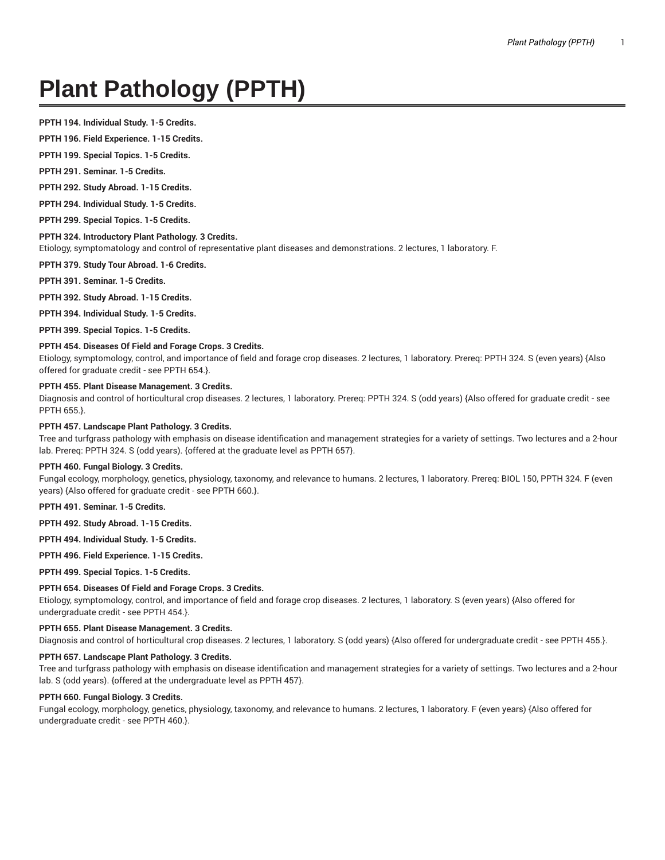# **Plant Pathology (PPTH)**

**PPTH 194. Individual Study. 1-5 Credits.**

**PPTH 196. Field Experience. 1-15 Credits.**

**PPTH 199. Special Topics. 1-5 Credits.**

**PPTH 291. Seminar. 1-5 Credits.**

**PPTH 292. Study Abroad. 1-15 Credits.**

**PPTH 294. Individual Study. 1-5 Credits.**

**PPTH 299. Special Topics. 1-5 Credits.**

#### **PPTH 324. Introductory Plant Pathology. 3 Credits.**

Etiology, symptomatology and control of representative plant diseases and demonstrations. 2 lectures, 1 laboratory. F.

**PPTH 379. Study Tour Abroad. 1-6 Credits.**

**PPTH 391. Seminar. 1-5 Credits.**

**PPTH 392. Study Abroad. 1-15 Credits.**

**PPTH 394. Individual Study. 1-5 Credits.**

**PPTH 399. Special Topics. 1-5 Credits.**

## **PPTH 454. Diseases Of Field and Forage Crops. 3 Credits.**

Etiology, symptomology, control, and importance of field and forage crop diseases. 2 lectures, 1 laboratory. Prereq: PPTH 324. S (even years) {Also offered for graduate credit - see PPTH 654.}.

### **PPTH 455. Plant Disease Management. 3 Credits.**

Diagnosis and control of horticultural crop diseases. 2 lectures, 1 laboratory. Prereq: PPTH 324. S (odd years) {Also offered for graduate credit - see PPTH 655.}.

### **PPTH 457. Landscape Plant Pathology. 3 Credits.**

Tree and turfgrass pathology with emphasis on disease identification and management strategies for a variety of settings. Two lectures and a 2-hour lab. Prereq: PPTH 324. S (odd years). {offered at the graduate level as PPTH 657}.

#### **PPTH 460. Fungal Biology. 3 Credits.**

Fungal ecology, morphology, genetics, physiology, taxonomy, and relevance to humans. 2 lectures, 1 laboratory. Prereq: BIOL 150, PPTH 324. F (even years) {Also offered for graduate credit - see PPTH 660.}.

**PPTH 491. Seminar. 1-5 Credits.**

**PPTH 492. Study Abroad. 1-15 Credits.**

**PPTH 494. Individual Study. 1-5 Credits.**

**PPTH 496. Field Experience. 1-15 Credits.**

**PPTH 499. Special Topics. 1-5 Credits.**

## **PPTH 654. Diseases Of Field and Forage Crops. 3 Credits.**

Etiology, symptomology, control, and importance of field and forage crop diseases. 2 lectures, 1 laboratory. S (even years) {Also offered for undergraduate credit - see PPTH 454.}.

#### **PPTH 655. Plant Disease Management. 3 Credits.**

Diagnosis and control of horticultural crop diseases. 2 lectures, 1 laboratory. S (odd years) {Also offered for undergraduate credit - see PPTH 455.}.

#### **PPTH 657. Landscape Plant Pathology. 3 Credits.**

Tree and turfgrass pathology with emphasis on disease identification and management strategies for a variety of settings. Two lectures and a 2-hour lab. S (odd years). {offered at the undergraduate level as PPTH 457}.

## **PPTH 660. Fungal Biology. 3 Credits.**

Fungal ecology, morphology, genetics, physiology, taxonomy, and relevance to humans. 2 lectures, 1 laboratory. F (even years) {Also offered for undergraduate credit - see PPTH 460.}.